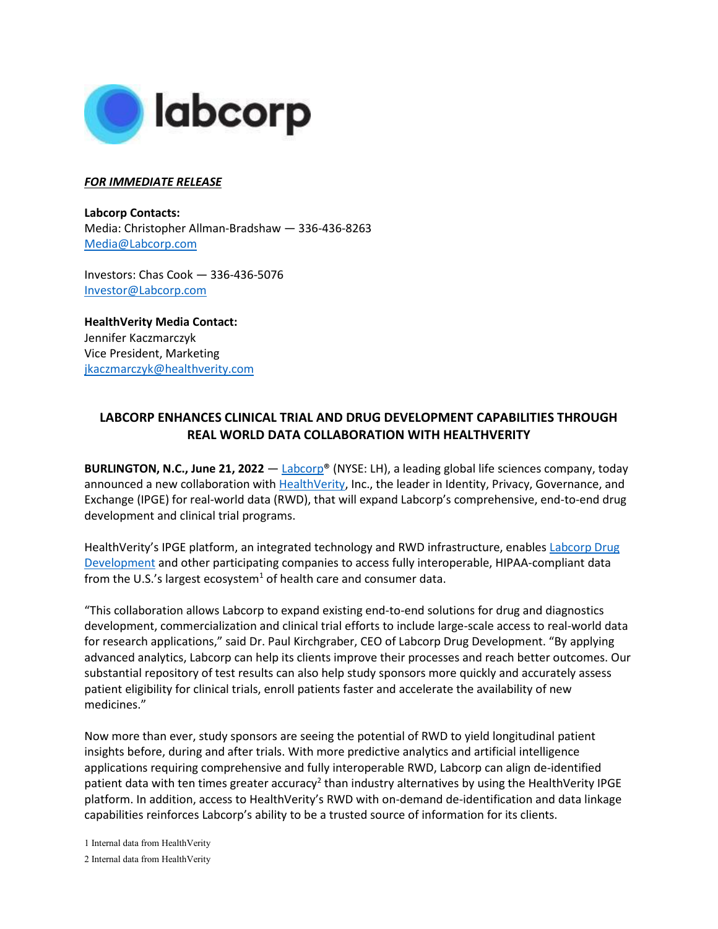

## *FOR IMMEDIATE RELEASE*

**Labcorp Contacts:**  Media: Christopher Allman-Bradshaw — 336-436-8263 [Media@Labcorp.com](mailto:Media@Labcorp.com)

Investors: Chas Cook — 336-436-5076 [Investor@Labcorp.com](mailto:Investor@Labcorp.com)

**HealthVerity Media Contact:** Jennifer Kaczmarczyk Vice President, Marketing jkaczmarczyk@healthverity.com

## **LABCORP ENHANCES CLINICAL TRIAL AND DRUG DEVELOPMENT CAPABILITIES THROUGH REAL WORLD DATA COLLABORATION WITH HEALTHVERITY**

**BURLINGTON, N.C., June 21, 2022** — [Labcorp®](http://www.labcorp.com/) (NYSE: LH), a leading global life sciences company, today announced a new collaboration with [HealthVerity,](https://healthverity.com/) Inc., the leader in Identity, Privacy, Governance, and Exchange (IPGE) for real-world data (RWD), that will expand Labcorp's comprehensive, end-to-end drug development and clinical trial programs.

HealthVerity's IPGE platform, an integrated technology and RWD infrastructure, enables Labcorp Drug [Development](http://www.drugdevelopment.labcorp.com/) and other participating companies to access fully interoperable, HIPAA-compliant data from the U.S.'s largest ecosystem<sup>1</sup> of health care and consumer data.

"This collaboration allows Labcorp to expand existing end-to-end solutions for drug and diagnostics development, commercialization and clinical trial efforts to include large-scale access to real-world data for research applications," said Dr. Paul Kirchgraber, CEO of Labcorp Drug Development. "By applying advanced analytics, Labcorp can help its clients improve their processes and reach better outcomes. Our substantial repository of test results can also help study sponsors more quickly and accurately assess patient eligibility for clinical trials, enroll patients faster and accelerate the availability of new medicines."

Now more than ever, study sponsors are seeing the potential of RWD to yield longitudinal patient insights before, during and after trials. With more predictive analytics and artificial intelligence applications requiring comprehensive and fully interoperable RWD, Labcorp can align de-identified patient data with ten times greater accuracy<sup>2</sup> than industry alternatives by using the HealthVerity IPGE platform. In addition, access to HealthVerity's RWD with on-demand de-identification and data linkage capabilities reinforces Labcorp's ability to be a trusted source of information for its clients.

1 Internal data from HealthVerity

<sup>2</sup> Internal data from HealthVerity